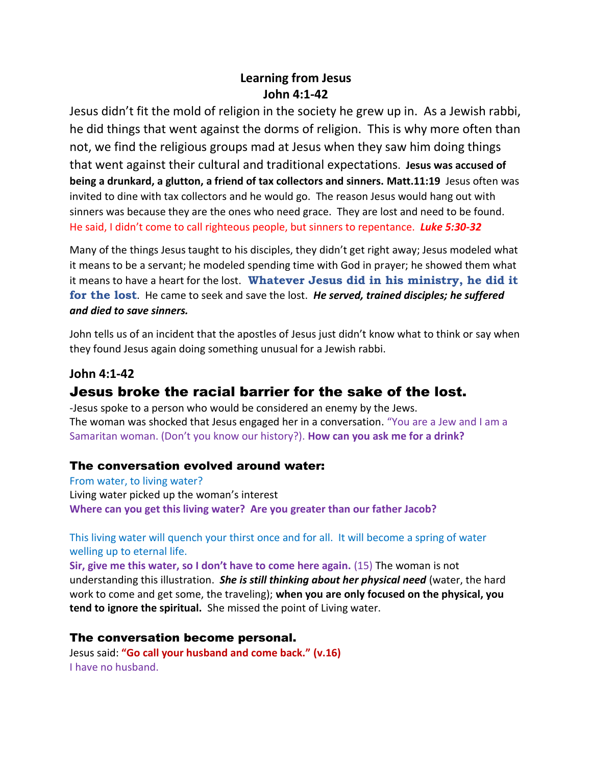## **Learning from Jesus John 4:1-42**

Jesus didn't fit the mold of religion in the society he grew up in. As a Jewish rabbi, he did things that went against the dorms of religion. This is why more often than not, we find the religious groups mad at Jesus when they saw him doing things that went against their cultural and traditional expectations. **Jesus was accused of being a drunkard, a glutton, a friend of tax collectors and sinners. Matt.11:19** Jesus often was invited to dine with tax collectors and he would go. The reason Jesus would hang out with sinners was because they are the ones who need grace. They are lost and need to be found. He said, I didn't come to call righteous people, but sinners to repentance. *Luke 5:30-32*

Many of the things Jesus taught to his disciples, they didn't get right away; Jesus modeled what it means to be a servant; he modeled spending time with God in prayer; he showed them what it means to have a heart for the lost. **Whatever Jesus did in his ministry, he did it for the lost**. He came to seek and save the lost. *He served, trained disciples; he suffered and died to save sinners.*

John tells us of an incident that the apostles of Jesus just didn't know what to think or say when they found Jesus again doing something unusual for a Jewish rabbi.

# **John 4:1-42** Jesus broke the racial barrier for the sake of the lost.

-Jesus spoke to a person who would be considered an enemy by the Jews. The woman was shocked that Jesus engaged her in a conversation. "You are a Jew and I am a Samaritan woman. (Don't you know our history?). **How can you ask me for a drink?**

## The conversation evolved around water:

From water, to living water? Living water picked up the woman's interest **Where can you get this living water? Are you greater than our father Jacob?**

This living water will quench your thirst once and for all. It will become a spring of water welling up to eternal life.

**Sir, give me this water, so I don't have to come here again.** (15) The woman is not understanding this illustration. *She is still thinking about her physical need* (water, the hard work to come and get some, the traveling); **when you are only focused on the physical, you tend to ignore the spiritual.** She missed the point of Living water.

## The conversation become personal.

Jesus said: **"Go call your husband and come back." (v.16)** I have no husband.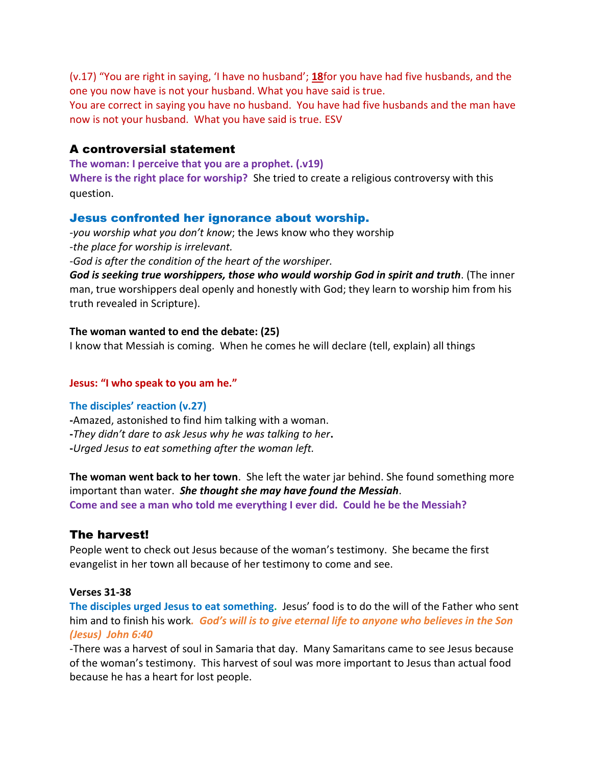(v.17) "You are right in saying, 'I have no husband'; **[18](http://biblehub.com/john/4-18.htm)**for you have had five husbands, and the one you now have is not your husband. What you have said is true.

You are correct in saying you have no husband. You have had five husbands and the man have now is not your husband. What you have said is true. ESV

## A controversial statement

**The woman: I perceive that you are a prophet. (.v19) Where is the right place for worship?** She tried to create a religious controversy with this question.

## Jesus confronted her ignorance about worship.

*-you worship what you don't know*; the Jews know who they worship -*the place for worship is irrelevant.*

*-God is after the condition of the heart of the worshiper.*

*God is seeking true worshippers, those who would worship God in spirit and truth*. (The inner man, true worshippers deal openly and honestly with God; they learn to worship him from his truth revealed in Scripture).

#### **The woman wanted to end the debate: (25)**

I know that Messiah is coming. When he comes he will declare (tell, explain) all things

#### **Jesus: "I who speak to you am he."**

#### **The disciples' reaction (v.27)**

- **-**Amazed, astonished to find him talking with a woman. **-***They didn't dare to ask Jesus why he was talking to her***.**
- **-***Urged Jesus to eat something after the woman left.*

**The woman went back to her town**. She left the water jar behind. She found something more important than water. *She thought she may have found the Messiah*. **Come and see a man who told me everything I ever did. Could he be the Messiah?**

## The harvest!

People went to check out Jesus because of the woman's testimony. She became the first evangelist in her town all because of her testimony to come and see.

#### **Verses 31-38**

**The disciples urged Jesus to eat something.** Jesus' food is to do the will of the Father who sent him and to finish his work*. God's will is to give eternal life to anyone who believes in the Son (Jesus) John 6:40*

-There was a harvest of soul in Samaria that day. Many Samaritans came to see Jesus because of the woman's testimony. This harvest of soul was more important to Jesus than actual food because he has a heart for lost people.